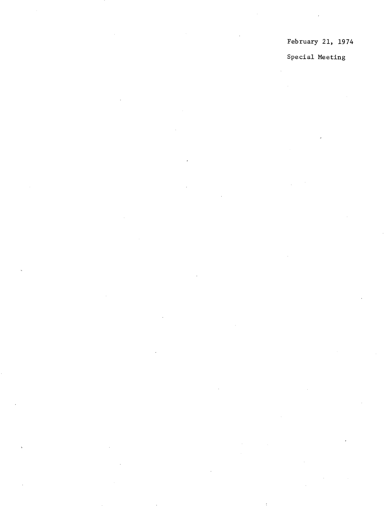February 21, 1974

Special Meeting

 $\bar{z}$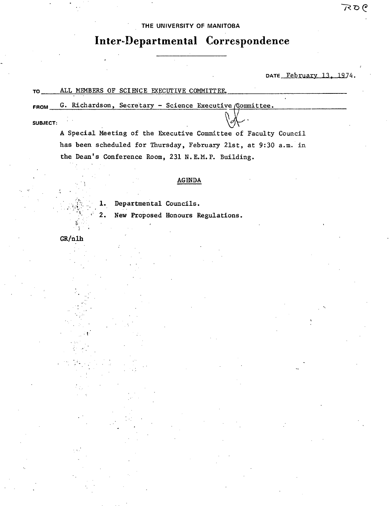## THE UNIVERSITY OF MANITOBA

# Inter-Departmental Correspondence

DATE February 13, 1974.

#### ALL MEMBERS OF SCIENCE EXECUTIVE COMMITTEE. **TO**

G. Richardson, Secretary - Science Executive (Committee. FROM

### SUBJECT:

A Special Meeting of the Executive Committee of Faculty Council has been scheduled for Thursday, February 21st, at 9:30 a.m. in the Dean's Conference Room, 231 N.E.M.P. Building.

## $\operatorname{\mathbf{AGENDA}}$

Departmental Councils.

New Proposed Honours Regulations.

 $GR/n1h$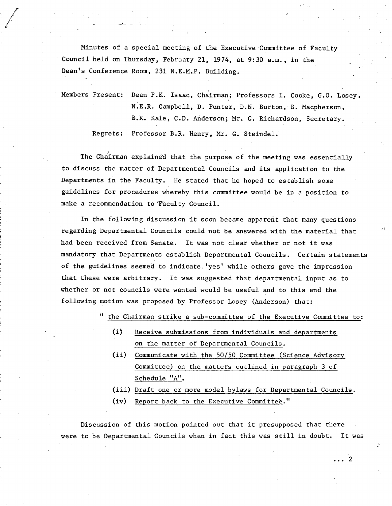Minutes of a special meeting of the Executive Committee of Faculty Council held on Thursday, February 21, 1974, at 9:30 a.m., in the Dean's Conference Room, 231 N.E.M.P. Building.

Members Present: Dean P.K. Isaac, Chairman; Professors I. Cooke, G.O. Losey, N.E.R. Campbell, D. Punter, D.N. Burton, B. Macpherson, B.K. Kale, C.D. Anderson; Mr. G. Richardson, Secretary. Regrets: Professor B.R. Henry, Mr. G. Steindel.

The Chairman explained that the purpose of the meeting was essentially to discuss the matter of Departmental Councils and its application to the Departments in the Faculty. He stated that he hoped to establish some guidelines for procedures whereby this committee would be in a position to make a recommendation to 'Faculty Council.

In the following discussion it soon became apparent that many questions regarding Departmental Councils could not be answered with the material that had been received from Senate. It was not clear whether or not it was mandatory that Departments establish Departmental Councils. Certain statements of the guidelines seemed to indicate. 'yes' while others gave the impression that these were arbitrary. It was suggested that departmental input as to whether or not councils were wanted would be useful and to this end the following motion was proposed by Professor Losey (Anderson) that:

**it** the Chairman strike a sub-committee of the Executive Committee to:

- (1) Receive submissions from individuals and departments on the matter of Departmental Councils.
- $(ii)$ Communicate with the 50/50 Committee (Science Advisory Committee) on the matters outlined in paragraph 3 of Schedule "A".
- (iii) Draft one or more model bylaws for Departmental Councils.

 $\overline{2}$ 

Report back to the Executive Committee."  $(iv)$ 

Discussion of this motion pointed out that it presupposed that there were to be Departmental Councils when in fact this was still in doubt. It was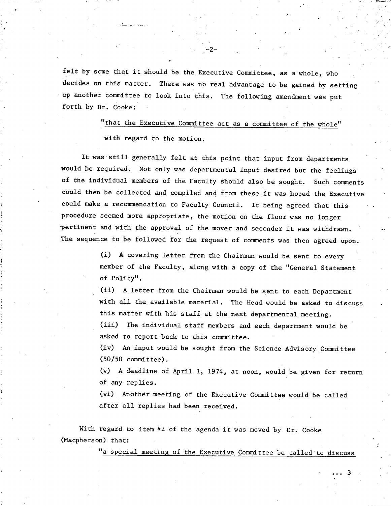felt by some that it should be the Executive Committee, as a whole, who decides on this matter. There was no real advantage to be gained by setting up another committee to look into this. The following amendment was put forth by Dr. Cooke:

 $-2-$ 

"that the Executive Committee act as a committee of the whole" with regard to the motion.

It was still generally felt at this point that input from departments would be required. Not only was departmental input desired but the feelings of the individual members of the Faculty should also be sought. Such comments could then be collected and compiled and from these it was hoped the Executive could make a recommendation to Faculty Council. It being agreed that this procedure seemed more appropriate, the motion on the floor was no longer pertinent and with the approval of the mover and seconder it was withdrawn. The sequence to be followed for the request of comments was then agreed upon.

> A covering letter from the Chairman would be sent to every member of the Faculty, along with a copy of the "General Statement of Policy".

A letter from the Chairman would be sent to each Department with all the available material. The Head would be asked to discuss this matter with his staff at the next departmental meeting.

(iii) The individual staff members and each department would be asked to report back to this committee.

An input would be sought from the Science Advisory Committee (50/50 committee).

A deadline of April 1, 1974, at noon, would be given for return of any replies.

Another meeting of the Executive Committee would be called after all replies had been received.

With regard to item #2 of the agenda it was moved by Dr. Cooke (Macpherson) that:

"a special meeting of the Executive Committee be called to discuss

3